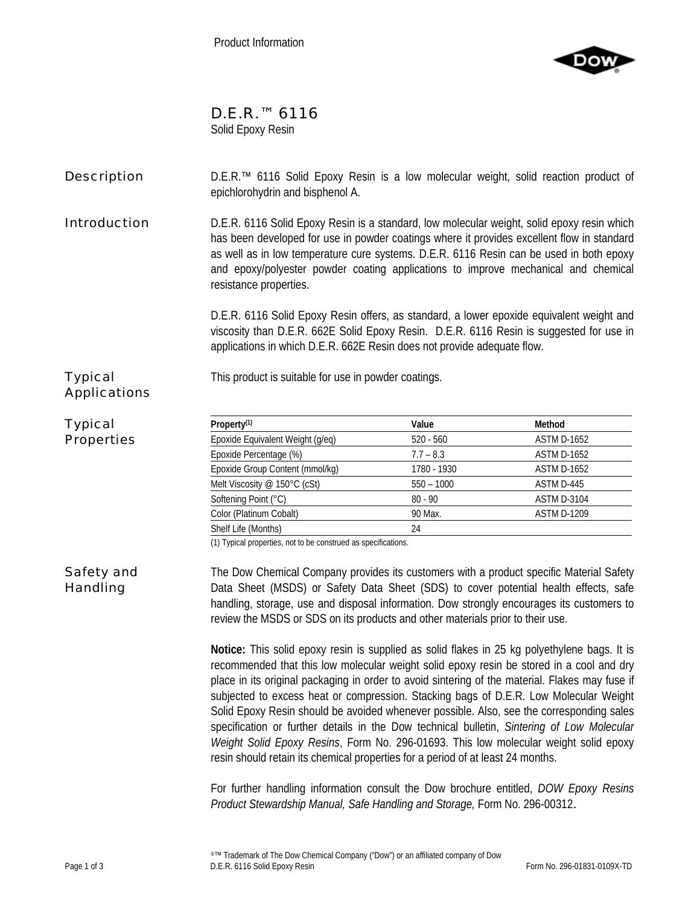

# D.E.R.<sup>™</sup> 6116

Solid Epoxy Resin

# **Description** D.E.R.<sup>™</sup> 6116 Solid Epoxy Resin is a low molecular weight, solid reaction product of epichlorohydrin and bisphenol A.

**Introduction** D.E.R. 6116 Solid Epoxy Resin is a standard, low molecular weight, solid epoxy resin which has been developed for use in powder coatings where it provides excellent flow in standard as well as in low temperature cure systems. D.E.R. 6116 Resin can be used in both epoxy and epoxy/polyester powder coating applications to improve mechanical and chemical resistance properties.

> D.E.R. 6116 Solid Epoxy Resin offers, as standard, a lower epoxide equivalent weight and viscosity than D.E.R. 662E Solid Epoxy Resin. D.E.R. 6116 Resin is suggested for use in applications in which D.E.R. 662E Resin does not provide adequate flow.

This product is suitable for use in powder coatings.

# Typical Applications

### Typical Properties

| Property <sup>(1)</sup>          | Value        | Method             |
|----------------------------------|--------------|--------------------|
| Epoxide Equivalent Weight (g/eq) | $520 - 560$  | <b>ASTM D-1652</b> |
| Epoxide Percentage (%)           | $7.7 - 8.3$  | <b>ASTM D-1652</b> |
| Epoxide Group Content (mmol/kg)  | 1780 - 1930  | <b>ASTM D-1652</b> |
| Melt Viscosity @ 150°C (cSt)     | $550 - 1000$ | ASTM D-445         |
| Softening Point (°C)             | $80 - 90$    | <b>ASTM D-3104</b> |
| Color (Platinum Cobalt)          | 90 Max.      | <b>ASTM D-1209</b> |
| Shelf Life (Months)              | 24           |                    |

(1) Typical properties, not to be construed as specifications.

Safety and Handling The Dow Chemical Company provides its customers with a product specific Material Safety Data Sheet (MSDS) or Safety Data Sheet (SDS) to cover potential health effects, safe handling, storage, use and disposal information. Dow strongly encourages its customers to review the MSDS or SDS on its products and other materials prior to their use.

> **Notice:** This solid epoxy resin is supplied as solid flakes in 25 kg polyethylene bags. It is recommended that this low molecular weight solid epoxy resin be stored in a cool and dry place in its original packaging in order to avoid sintering of the material. Flakes may fuse if subjected to excess heat or compression. Stacking bags of D.E.R. Low Molecular Weight Solid Epoxy Resin should be avoided whenever possible. Also, see the corresponding sales specification or further details in the Dow technical bulletin, *Sintering of Low Molecular Weight Solid Epoxy Resins*, Form No. 296-01693. This low molecular weight solid epoxy resin should retain its chemical properties for a period of at least 24 months.

> For further handling information consult the Dow brochure entitled, *DOW Epoxy Resins Product Stewardship Manual, Safe Handling and Storage,* Form No. 296-00312.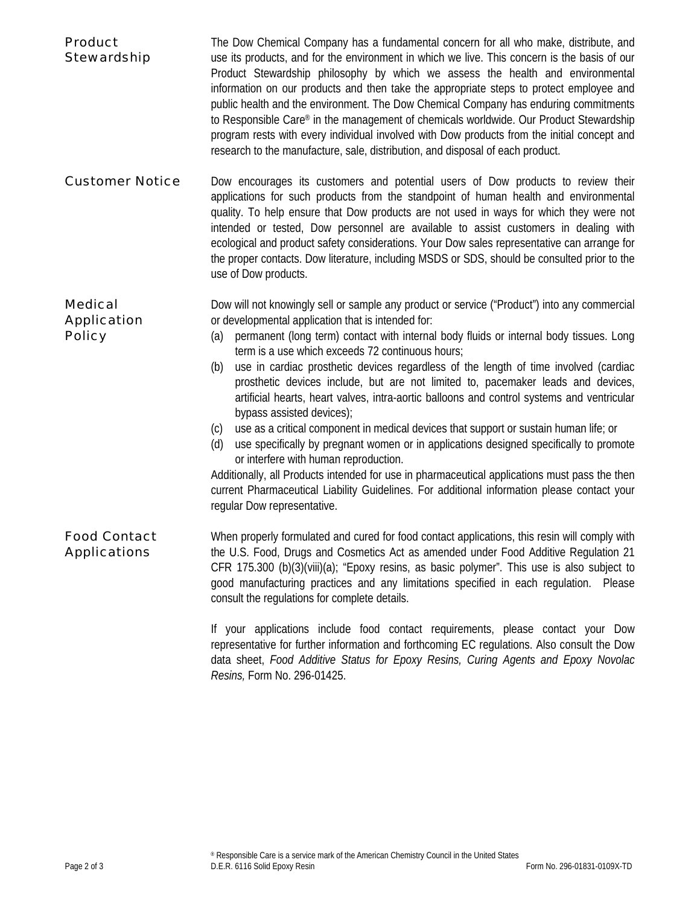| <b>Product</b><br>Stewardship                         | The Dow Chemical Company has a fundamental concern for all who make, distribute, and<br>use its products, and for the environment in which we live. This concern is the basis of our<br>Product Stewardship philosophy by which we assess the health and environmental<br>information on our products and then take the appropriate steps to protect employee and<br>public health and the environment. The Dow Chemical Company has enduring commitments<br>to Responsible Care® in the management of chemicals worldwide. Our Product Stewardship<br>program rests with every individual involved with Dow products from the initial concept and<br>research to the manufacture, sale, distribution, and disposal of each product.                                                                                                                                                                                                                                                                                                                                                           |
|-------------------------------------------------------|------------------------------------------------------------------------------------------------------------------------------------------------------------------------------------------------------------------------------------------------------------------------------------------------------------------------------------------------------------------------------------------------------------------------------------------------------------------------------------------------------------------------------------------------------------------------------------------------------------------------------------------------------------------------------------------------------------------------------------------------------------------------------------------------------------------------------------------------------------------------------------------------------------------------------------------------------------------------------------------------------------------------------------------------------------------------------------------------|
| <b>Customer Notice</b>                                | Dow encourages its customers and potential users of Dow products to review their<br>applications for such products from the standpoint of human health and environmental<br>quality. To help ensure that Dow products are not used in ways for which they were not<br>intended or tested, Dow personnel are available to assist customers in dealing with<br>ecological and product safety considerations. Your Dow sales representative can arrange for<br>the proper contacts. Dow literature, including MSDS or SDS, should be consulted prior to the<br>use of Dow products.                                                                                                                                                                                                                                                                                                                                                                                                                                                                                                               |
| <b>Medical</b><br><b>Application</b><br><b>Policy</b> | Dow will not knowingly sell or sample any product or service ("Product") into any commercial<br>or developmental application that is intended for:<br>permanent (long term) contact with internal body fluids or internal body tissues. Long<br>(a)<br>term is a use which exceeds 72 continuous hours;<br>use in cardiac prosthetic devices regardless of the length of time involved (cardiac<br>(b)<br>prosthetic devices include, but are not limited to, pacemaker leads and devices,<br>artificial hearts, heart valves, intra-aortic balloons and control systems and ventricular<br>bypass assisted devices);<br>use as a critical component in medical devices that support or sustain human life; or<br>(c)<br>use specifically by pregnant women or in applications designed specifically to promote<br>(d)<br>or interfere with human reproduction.<br>Additionally, all Products intended for use in pharmaceutical applications must pass the then<br>current Pharmaceutical Liability Guidelines. For additional information please contact your<br>regular Dow representative. |
| <b>Food Contact</b><br><b>Applications</b>            | When properly formulated and cured for food contact applications, this resin will comply with<br>the U.S. Food, Drugs and Cosmetics Act as amended under Food Additive Regulation 21<br>CFR 175.300 (b)(3)(viii)(a); "Epoxy resins, as basic polymer". This use is also subject to<br>good manufacturing practices and any limitations specified in each regulation.<br>Please<br>consult the regulations for complete details.                                                                                                                                                                                                                                                                                                                                                                                                                                                                                                                                                                                                                                                                |
|                                                       | If your applications include food contact requirements, please contact your Dow<br>representative for further information and forthcoming EC regulations. Also consult the Dow<br>data sheet, Food Additive Status for Epoxy Resins, Curing Agents and Epoxy Novolac                                                                                                                                                                                                                                                                                                                                                                                                                                                                                                                                                                                                                                                                                                                                                                                                                           |

*Resins,* Form No. 296-01425.